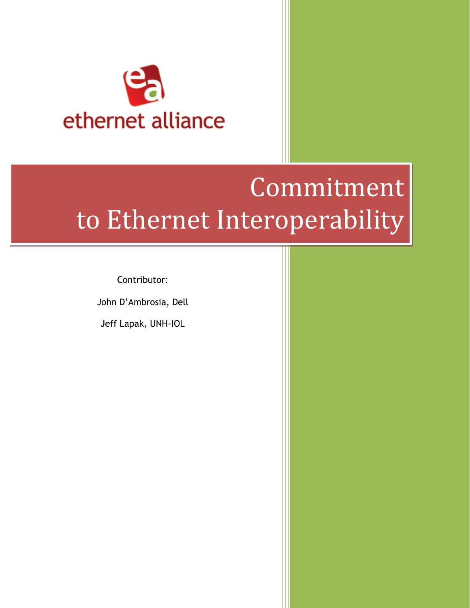

# Commitment to Ethernet Interoperability

Contributor:

John D'Ambrosia, Dell

Jeff Lapak, UNH-IOL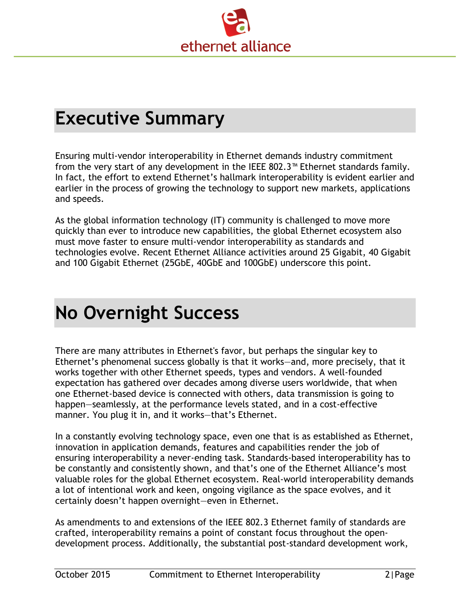

#### **Executive Summary**

Ensuring multi-vendor interoperability in Ethernet demands industry commitment from the very start of any development in the IEEE 802.3™ Ethernet standards family. In fact, the effort to extend Ethernet's hallmark interoperability is evident earlier and earlier in the process of growing the technology to support new markets, applications and speeds.

As the global information technology (IT) community is challenged to move more quickly than ever to introduce new capabilities, the global Ethernet ecosystem also must move faster to ensure multi-vendor interoperability as standards and technologies evolve. Recent Ethernet Alliance activities around 25 Gigabit, 40 Gigabit and 100 Gigabit Ethernet (25GbE, 40GbE and 100GbE) underscore this point.

## **No Overnight Success**

There are many attributes in Ethernet's favor, but perhaps the singular key to Ethernet's phenomenal success globally is that it works—and, more precisely, that it works together with other Ethernet speeds, types and vendors. A well-founded expectation has gathered over decades among diverse users worldwide, that when one Ethernet-based device is connected with others, data transmission is going to happen—seamlessly, at the performance levels stated, and in a cost-effective manner. You plug it in, and it works—that's Ethernet.

In a constantly evolving technology space, even one that is as established as Ethernet, innovation in application demands, features and capabilities render the job of ensuring interoperability a never-ending task. Standards-based interoperability has to be constantly and consistently shown, and that's one of the Ethernet Alliance's most valuable roles for the global Ethernet ecosystem. Real-world interoperability demands a lot of intentional work and keen, ongoing vigilance as the space evolves, and it certainly doesn't happen overnight—even in Ethernet.

As amendments to and extensions of the IEEE 802.3 Ethernet family of standards are crafted, interoperability remains a point of constant focus throughout the opendevelopment process. Additionally, the substantial post-standard development work,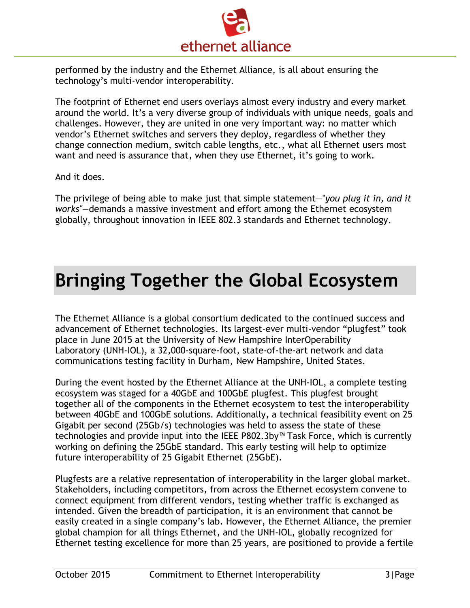

performed by the industry and the Ethernet Alliance, is all about ensuring the technology's multi-vendor interoperability.

The footprint of Ethernet end users overlays almost every industry and every market around the world. It's a very diverse group of individuals with unique needs, goals and challenges. However, they are united in one very important way: no matter which vendor's Ethernet switches and servers they deploy, regardless of whether they change connection medium, switch cable lengths, etc., what all Ethernet users most want and need is assurance that, when they use Ethernet, it's going to work.

And it does.

The privilege of being able to make just that simple statement—"*you plug it in, and it works"*—demands a massive investment and effort among the Ethernet ecosystem globally, throughout innovation in IEEE 802.3 standards and Ethernet technology.

#### **Bringing Together the Global Ecosystem**

The Ethernet Alliance is a global consortium dedicated to the continued success and advancement of Ethernet technologies. Its largest-ever multi-vendor "plugfest" took place in June 2015 at the University of New Hampshire InterOperability Laboratory (UNH-IOL), a 32,000-square-foot, state-of-the-art network and data communications testing facility in Durham, New Hampshire, United States.

During the event hosted by the Ethernet Alliance at the UNH-IOL, a complete testing ecosystem was staged for a 40GbE and 100GbE plugfest. This plugfest brought together all of the components in the Ethernet ecosystem to test the interoperability between 40GbE and 100GbE solutions. Additionally, a technical feasibility event on 25 Gigabit per second (25Gb/s) technologies was held to assess the state of these technologies and provide input into the IEEE P802.3by™ Task Force, which is currently working on defining the 25GbE standard. This early testing will help to optimize future interoperability of 25 Gigabit Ethernet (25GbE).

Plugfests are a relative representation of interoperability in the larger global market. Stakeholders, including competitors, from across the Ethernet ecosystem convene to connect equipment from different vendors, testing whether traffic is exchanged as intended. Given the breadth of participation, it is an environment that cannot be easily created in a single company's lab. However, the Ethernet Alliance, the premier global champion for all things Ethernet, and the UNH-IOL, globally recognized for Ethernet testing excellence for more than 25 years, are positioned to provide a fertile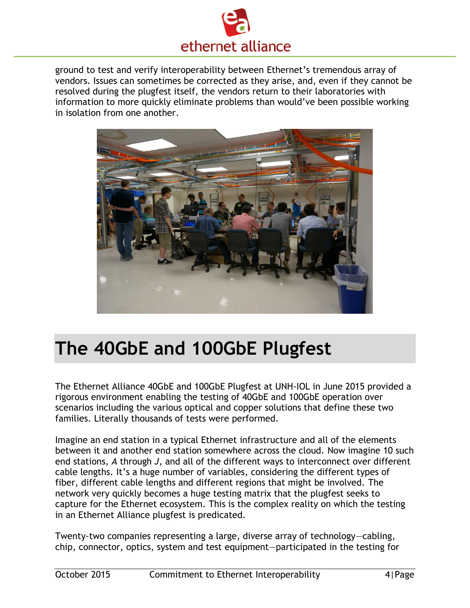

ground to test and verify interoperability between Ethernet's tremendous array of vendors. Issues can sometimes be corrected as they arise, and, even if they cannot be resolved during the plugfest itself, the vendors return to their laboratories with information to more quickly eliminate problems than would've been possible working in isolation from one another.



## **The 40GbE and 100GbE Plugfest**

The Ethernet Alliance 40GbE and 100GbE Plugfest at UNH-IOL in June 2015 provided a rigorous environment enabling the testing of 40GbE and 100GbE operation over scenarios including the various optical and copper solutions that define these two families. Literally thousands of tests were performed.

Imagine an end station in a typical Ethernet infrastructure and all of the elements between it and another end station somewhere across the cloud. Now imagine 10 such end stations, *A* through *J*, and all of the different ways to interconnect over different cable lengths. It's a huge number of variables, considering the different types of fiber, different cable lengths and different regions that might be involved. The network very quickly becomes a huge testing matrix that the plugfest seeks to capture for the Ethernet ecosystem. This is the complex reality on which the testing in an Ethernet Alliance plugfest is predicated.

Twenty-two companies representing a large, diverse array of technology—cabling, chip, connector, optics, system and test equipment—participated in the testing for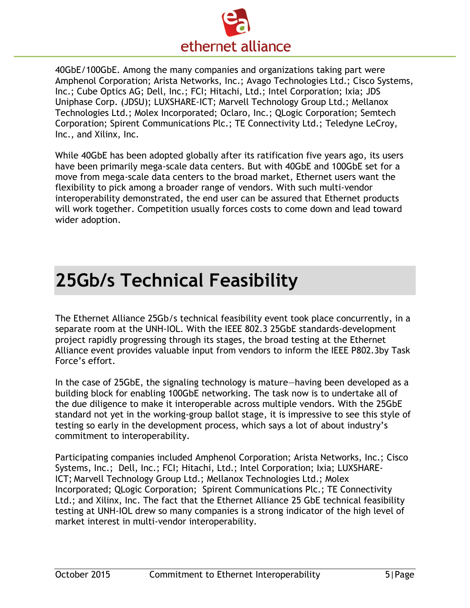

40GbE/100GbE. Among the many companies and organizations taking part were Amphenol Corporation; Arista Networks, Inc.; Avago Technologies Ltd.; Cisco Systems, Inc.; Cube Optics AG; Dell, Inc.; FCI; Hitachi, Ltd.; Intel Corporation; Ixia; JDS Uniphase Corp. (JDSU); LUXSHARE-ICT; Marvell Technology Group Ltd.; Mellanox Technologies Ltd.; Molex Incorporated; Oclaro, Inc.; QLogic Corporation; Semtech Corporation; Spirent Communications Plc.; TE Connectivity Ltd.; Teledyne LeCroy, Inc., and Xilinx, Inc.

While 40GbE has been adopted globally after its ratification five years ago, its users have been primarily mega-scale data centers. But with 40GbE and 100GbE set for a move from mega-scale data centers to the broad market, Ethernet users want the flexibility to pick among a broader range of vendors. With such multi-vendor interoperability demonstrated, the end user can be assured that Ethernet products will work together. Competition usually forces costs to come down and lead toward wider adoption.

### **25Gb/s Technical Feasibility**

The Ethernet Alliance 25Gb/s technical feasibility event took place concurrently, in a separate room at the UNH-IOL. With the IEEE 802.3 25GbE standards-development project rapidly progressing through its stages, the broad testing at the Ethernet Alliance event provides valuable input from vendors to inform the IEEE P802.3by Task Force's effort.

In the case of 25GbE, the signaling technology is mature—having been developed as a building block for enabling 100GbE networking. The task now is to undertake all of the due diligence to make it interoperable across multiple vendors. With the 25GbE standard not yet in the working-group ballot stage, it is impressive to see this style of testing so early in the development process, which says a lot of about industry's commitment to interoperability.

Participating companies included Amphenol Corporation; Arista Networks, Inc.; Cisco Systems, Inc.; Dell, Inc.; FCI; Hitachi, Ltd.; Intel Corporation; Ixia; LUXSHARE-ICT; Marvell Technology Group Ltd.; Mellanox Technologies Ltd.; Molex Incorporated; QLogic Corporation; Spirent Communications Plc.; TE Connectivity Ltd.; and Xilinx, Inc. The fact that the Ethernet Alliance 25 GbE technical feasibility testing at UNH-IOL drew so many companies is a strong indicator of the high level of market interest in multi-vendor interoperability.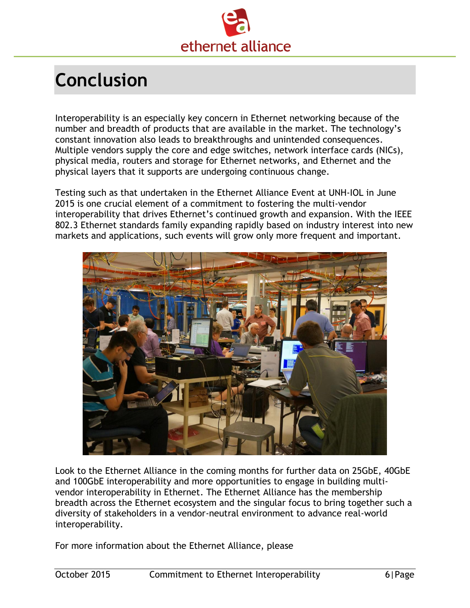

## **Conclusion**

Interoperability is an especially key concern in Ethernet networking because of the number and breadth of products that are available in the market. The technology's constant innovation also leads to breakthroughs and unintended consequences. Multiple vendors supply the core and edge switches, network interface cards (NICs), physical media, routers and storage for Ethernet networks, and Ethernet and the physical layers that it supports are undergoing continuous change.

Testing such as that undertaken in the Ethernet Alliance Event at UNH-IOL in June 2015 is one crucial element of a commitment to fostering the multi-vendor interoperability that drives Ethernet's continued growth and expansion. With the IEEE 802.3 Ethernet standards family expanding rapidly based on industry interest into new markets and applications, such events will grow only more frequent and important.



Look to the Ethernet Alliance in the coming months for further data on 25GbE, 40GbE and 100GbE interoperability and more opportunities to engage in building multivendor interoperability in Ethernet. The Ethernet Alliance has the membership breadth across the Ethernet ecosystem and the singular focus to bring together such a diversity of stakeholders in a vendor-neutral environment to advance real-world interoperability.

For more information about the Ethernet Alliance, please